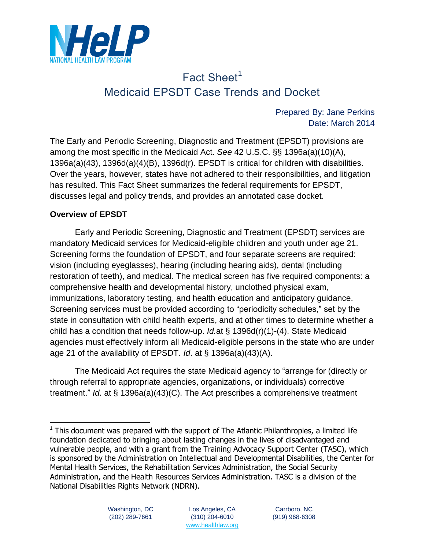

# Fact Sheet<sup>1</sup> Medicaid EPSDT Case Trends and Docket

Prepared By: Jane Perkins Date: March 2014

The Early and Periodic Screening, Diagnostic and Treatment (EPSDT) provisions are among the most specific in the Medicaid Act. *See* 42 U.S.C. §§ 1396a(a)(10)(A), 1396a(a)(43), 1396d(a)(4)(B), 1396d(r). EPSDT is critical for children with disabilities. Over the years, however, states have not adhered to their responsibilities, and litigation has resulted. This Fact Sheet summarizes the federal requirements for EPSDT, discusses legal and policy trends, and provides an annotated case docket.

#### **Overview of EPSDT**

Early and Periodic Screening, Diagnostic and Treatment (EPSDT) services are mandatory Medicaid services for Medicaid-eligible children and youth under age 21. Screening forms the foundation of EPSDT, and four separate screens are required: vision (including eyeglasses), hearing (including hearing aids), dental (including restoration of teeth), and medical. The medical screen has five required components: a comprehensive health and developmental history, unclothed physical exam, immunizations, laboratory testing, and health education and anticipatory guidance. Screening services must be provided according to "periodicity schedules," set by the state in consultation with child health experts, and at other times to determine whether a child has a condition that needs follow-up. *Id.*at § 1396d(r)(1)-(4). State Medicaid agencies must effectively inform all Medicaid-eligible persons in the state who are under age 21 of the availability of EPSDT. *Id*. at § 1396a(a)(43)(A).

The Medicaid Act requires the state Medicaid agency to "arrange for (directly or through referral to appropriate agencies, organizations, or individuals) corrective treatment." *Id.* at § 1396a(a)(43)(C). The Act prescribes a comprehensive treatment

 $1$  This document was prepared with the support of The Atlantic Philanthropies, a limited life foundation dedicated to bringing about lasting changes in the lives of disadvantaged and vulnerable people, and with a grant from the Training Advocacy Support Center (TASC), which is sponsored by the Administration on Intellectual and Developmental Disabilities, the Center for Mental Health Services, the Rehabilitation Services Administration, the Social Security Administration, and the Health Resources Services Administration. TASC is a division of the National Disabilities Rights Network (NDRN).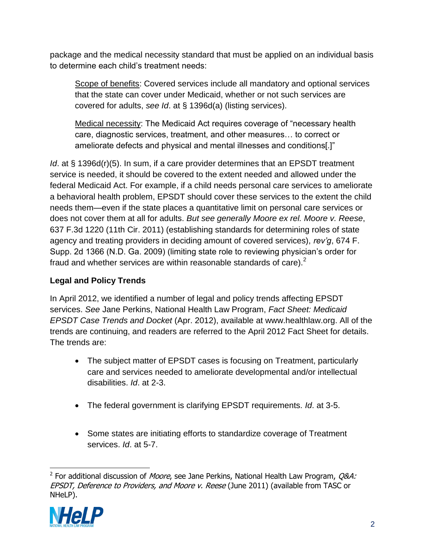package and the medical necessity standard that must be applied on an individual basis to determine each child's treatment needs:

Scope of benefits: Covered services include all mandatory and optional services that the state can cover under Medicaid, whether or not such services are covered for adults, *see Id*. at § 1396d(a) (listing services).

Medical necessity: The Medicaid Act requires coverage of "necessary health care, diagnostic services, treatment, and other measures… to correct or ameliorate defects and physical and mental illnesses and conditions[.]"

*Id.* at § 1396d(r)(5). In sum, if a care provider determines that an EPSDT treatment service is needed, it should be covered to the extent needed and allowed under the federal Medicaid Act. For example, if a child needs personal care services to ameliorate a behavioral health problem, EPSDT should cover these services to the extent the child needs them—even if the state places a quantitative limit on personal care services or does not cover them at all for adults. *But see generally Moore ex rel. Moore v. Reese*, 637 F.3d 1220 (11th Cir. 2011) (establishing standards for determining roles of state agency and treating providers in deciding amount of covered services), *rev'g*, 674 F. Supp. 2d 1366 (N.D. Ga. 2009) (limiting state role to reviewing physician's order for fraud and whether services are within reasonable standards of care).<sup>2</sup>

# **Legal and Policy Trends**

In April 2012, we identified a number of legal and policy trends affecting EPSDT services. *See* Jane Perkins, National Health Law Program, *Fact Sheet: Medicaid EPSDT Case Trends and Docket* (Apr. 2012), available at www.healthlaw.org. All of the trends are continuing, and readers are referred to the April 2012 Fact Sheet for details. The trends are:

- The subject matter of EPSDT cases is focusing on Treatment, particularly care and services needed to ameliorate developmental and/or intellectual disabilities. *Id*. at 2-3.
- The federal government is clarifying EPSDT requirements. *Id*. at 3-5.
- Some states are initiating efforts to standardize coverage of Treatment services. *Id*. at 5-7.

 2 For additional discussion of Moore, see Jane Perkins, National Health Law Program, Q&A: EPSDT, Deference to Providers, and Moore v. Reese (June 2011) (available from TASC or NHeLP).

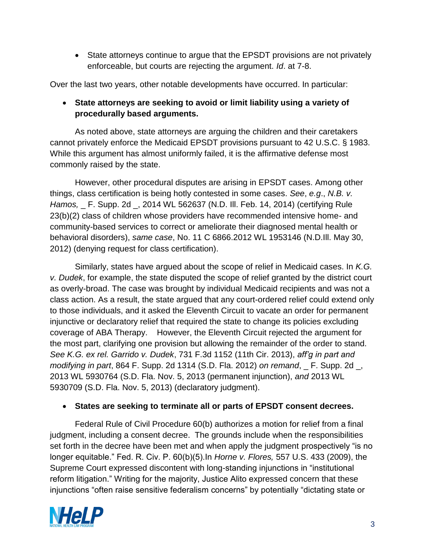State attorneys continue to argue that the EPSDT provisions are not privately enforceable, but courts are rejecting the argument. *Id*. at 7-8.

Over the last two years, other notable developments have occurred. In particular:

## **State attorneys are seeking to avoid or limit liability using a variety of procedurally based arguments.**

As noted above, state attorneys are arguing the children and their caretakers cannot privately enforce the Medicaid EPSDT provisions pursuant to 42 U.S.C. § 1983. While this argument has almost uniformly failed, it is the affirmative defense most commonly raised by the state.

However, other procedural disputes are arising in EPSDT cases. Among other things, class certification is being hotly contested in some cases. *See*, *e.g*., *N.B. v. Hamos,* \_ F. Supp. 2d \_, 2014 WL 562637 (N.D. Ill. Feb. 14, 2014) (certifying Rule 23(b)(2) class of children whose providers have recommended intensive home- and community-based services to correct or ameliorate their diagnosed mental health or behavioral disorders), *same case*, No. 11 C 6866.2012 WL 1953146 (N.D.Ill. May 30, 2012) (denying request for class certification).

Similarly, states have argued about the scope of relief in Medicaid cases. In *K.G. v. Dudek*, for example, the state disputed the scope of relief granted by the district court as overly-broad. The case was brought by individual Medicaid recipients and was not a class action. As a result, the state argued that any court-ordered relief could extend only to those individuals, and it asked the Eleventh Circuit to vacate an order for permanent injunctive or declaratory relief that required the state to change its policies excluding coverage of ABA Therapy. However, the Eleventh Circuit rejected the argument for the most part, clarifying one provision but allowing the remainder of the order to stand. *See K.G. ex rel. Garrido v. Dudek*, 731 F.3d 1152 (11th Cir. 2013), *aff'g in part and modifying in part*, 864 F. Supp. 2d 1314 (S.D. Fla. 2012) *on remand*, \_ F. Supp. 2d \_, 2013 WL 5930764 (S.D. Fla. Nov. 5, 2013 (permanent injunction), *and* 2013 WL 5930709 (S.D. Fla. Nov. 5, 2013) (declaratory judgment).

#### **States are seeking to terminate all or parts of EPSDT consent decrees.**

Federal Rule of Civil Procedure 60(b) authorizes a motion for relief from a final judgment, including a consent decree. The grounds include when the responsibilities set forth in the decree have been met and when apply the judgment prospectively "is no longer equitable." Fed. R. Civ. P. 60(b)(5).In *Horne v. Flores,* 557 U.S. 433 (2009), the Supreme Court expressed discontent with long-standing injunctions in "institutional reform litigation." Writing for the majority, Justice Alito expressed concern that these injunctions "often raise sensitive federalism concerns" by potentially "dictating state or

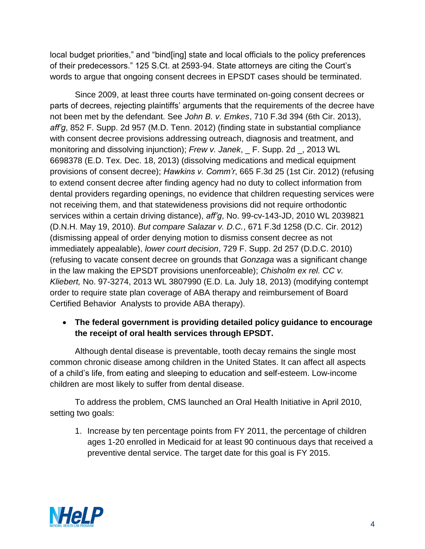local budget priorities," and "bind[ing] state and local officials to the policy preferences of their predecessors." 125 S.Ct. at 2593-94. State attorneys are citing the Court's words to argue that ongoing consent decrees in EPSDT cases should be terminated.

Since 2009, at least three courts have terminated on-going consent decrees or parts of decrees, rejecting plaintiffs' arguments that the requirements of the decree have not been met by the defendant. See *John B. v. Emkes*, 710 F.3d 394 (6th Cir. 2013), *aff'g*, 852 F. Supp. 2d 957 (M.D. Tenn. 2012) (finding state in substantial compliance with consent decree provisions addressing outreach, diagnosis and treatment, and monitoring and dissolving injunction); *Frew v. Janek*, \_ F. Supp. 2d \_, 2013 WL 6698378 (E.D. Tex. Dec. 18, 2013) (dissolving medications and medical equipment provisions of consent decree); *Hawkins v. Comm'r*, 665 F.3d 25 (1st Cir. 2012) (refusing to extend consent decree after finding agency had no duty to collect information from dental providers regarding openings, no evidence that children requesting services were not receiving them, and that statewideness provisions did not require orthodontic services within a certain driving distance), *aff'g*, No. 99-cv-143-JD, 2010 WL 2039821 (D.N.H. May 19, 2010). *But compare Salazar v. D.C.*, 671 F.3d 1258 (D.C. Cir. 2012) (dismissing appeal of order denying motion to dismiss consent decree as not immediately appealable), *lower court decision*, 729 F. Supp. 2d 257 (D.D.C. 2010) (refusing to vacate consent decree on grounds that *Gonzaga* was a significant change in the law making the EPSDT provisions unenforceable); *Chisholm ex rel. CC v. Kliebert,* No. 97-3274, 2013 WL 3807990 (E.D. La. July 18, 2013) (modifying contempt order to require state plan coverage of ABA therapy and reimbursement of Board Certified Behavior Analysts to provide ABA therapy).

## **The federal government is providing detailed policy guidance to encourage the receipt of oral health services through EPSDT.**

Although dental disease is preventable, tooth decay remains the single most common chronic disease among children in the United States. It can affect all aspects of a child's life, from eating and sleeping to education and self-esteem. Low-income children are most likely to suffer from dental disease.

To address the problem, CMS launched an Oral Health Initiative in April 2010, setting two goals:

1. Increase by ten percentage points from FY 2011, the percentage of children ages 1-20 enrolled in Medicaid for at least 90 continuous days that received a preventive dental service. The target date for this goal is FY 2015.

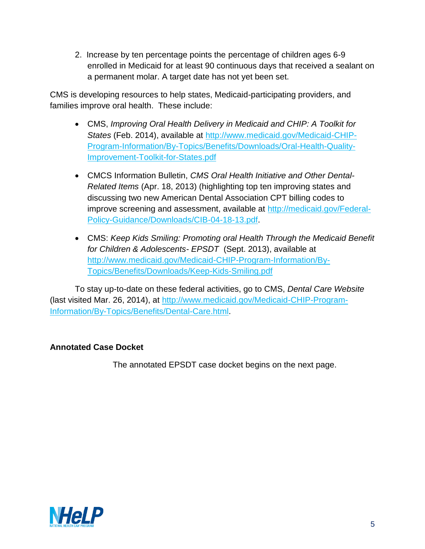2. Increase by ten percentage points the percentage of children ages 6-9 enrolled in Medicaid for at least 90 continuous days that received a sealant on a permanent molar. A target date has not yet been set.

CMS is developing resources to help states, Medicaid-participating providers, and families improve oral health. These include:

- CMS, *Improving Oral Health Delivery in Medicaid and CHIP: A Toolkit for States* (Feb. 2014), available at [http://www.medicaid.gov/Medicaid-CHIP-](http://www.medicaid.gov/Medicaid-CHIP-Program-Information/By-Topics/Benefits/Downloads/Oral-Health-Quality-Improvement-Toolkit-for-States.pdf)[Program-Information/By-Topics/Benefits/Downloads/Oral-Health-Quality-](http://www.medicaid.gov/Medicaid-CHIP-Program-Information/By-Topics/Benefits/Downloads/Oral-Health-Quality-Improvement-Toolkit-for-States.pdf)[Improvement-Toolkit-for-States.pdf](http://www.medicaid.gov/Medicaid-CHIP-Program-Information/By-Topics/Benefits/Downloads/Oral-Health-Quality-Improvement-Toolkit-for-States.pdf)
- CMCS Information Bulletin, *CMS Oral Health Initiative and Other Dental-Related Items* (Apr. 18, 2013) (highlighting top ten improving states and discussing two new American Dental Association CPT billing codes to improve screening and assessment, available at [http://medicaid.gov/Federal-](http://medicaid.gov/Federal-Policy-Guidance/Downloads/CIB-04-18-13.pdf)[Policy-Guidance/Downloads/CIB-04-18-13.pdf.](http://medicaid.gov/Federal-Policy-Guidance/Downloads/CIB-04-18-13.pdf)
- CMS: *Keep Kids Smiling: Promoting oral Health Through the Medicaid Benefit for Children & Adolescents- EPSDT* (Sept. 2013), available at [http://www.medicaid.gov/Medicaid-CHIP-Program-Information/By-](http://www.medicaid.gov/Medicaid-CHIP-Program-Information/By-Topics/Benefits/Downloads/Keep-Kids-Smiling.pdf)[Topics/Benefits/Downloads/Keep-Kids-Smiling.pdf](http://www.medicaid.gov/Medicaid-CHIP-Program-Information/By-Topics/Benefits/Downloads/Keep-Kids-Smiling.pdf)

To stay up-to-date on these federal activities, go to CMS, *Dental Care Website* (last visited Mar. 26, 2014), at [http://www.medicaid.gov/Medicaid-CHIP-Program-](http://www.medicaid.gov/Medicaid-CHIP-Program-Information/By-Topics/Benefits/Dental-Care.html)[Information/By-Topics/Benefits/Dental-Care.html.](http://www.medicaid.gov/Medicaid-CHIP-Program-Information/By-Topics/Benefits/Dental-Care.html)

#### **Annotated Case Docket**

The annotated EPSDT case docket begins on the next page.

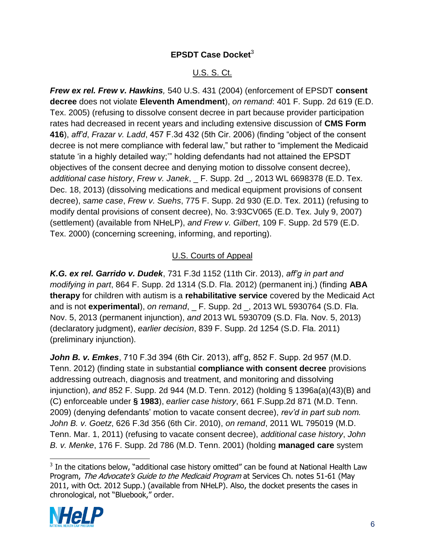# **EPSDT Case Docket<sup>3</sup>**

# U.S. S. Ct.

*Frew ex rel. Frew v. Hawkins,* 540 U.S. 431 (2004) (enforcement of EPSDT **consent decree** does not violate **Eleventh Amendment**), *on remand*: 401 F. Supp. 2d 619 (E.D. Tex. 2005) (refusing to dissolve consent decree in part because provider participation rates had decreased in recent years and including extensive discussion of **CMS Form 416**), *aff'd*, *Frazar v. Ladd*, 457 F.3d 432 (5th Cir. 2006) (finding "object of the consent decree is not mere compliance with federal law," but rather to "implement the Medicaid statute 'in a highly detailed way;'" holding defendants had not attained the EPSDT objectives of the consent decree and denying motion to dissolve consent decree), *additional case history*, *Frew v. Janek*, \_ F. Supp. 2d \_, 2013 WL 6698378 (E.D. Tex. Dec. 18, 2013) (dissolving medications and medical equipment provisions of consent decree), *same case*, *Frew v. Suehs*, 775 F. Supp. 2d 930 (E.D. Tex. 2011) (refusing to modify dental provisions of consent decree), No. 3:93CV065 (E.D. Tex. July 9, 2007) (settlement) (available from NHeLP), *and Frew v. Gilbert*, 109 F. Supp. 2d 579 (E.D. Tex. 2000) (concerning screening, informing, and reporting).

## U.S. Courts of Appeal

*K.G. ex rel. Garrido v. Dudek*, 731 F.3d 1152 (11th Cir. 2013), *aff'g in part and modifying in part*, 864 F. Supp. 2d 1314 (S.D. Fla. 2012) (permanent inj.) (finding **ABA therapy** for children with autism is a **rehabilitative service** covered by the Medicaid Act and is not **experimental**), *on remand*, F. Supp. 2d, 2013 WL 5930764 (S.D. Fla. Nov. 5, 2013 (permanent injunction), *and* 2013 WL 5930709 (S.D. Fla. Nov. 5, 2013) (declaratory judgment), *earlier decision*, 839 F. Supp. 2d 1254 (S.D. Fla. 2011) (preliminary injunction).

*John B. v. Emkes*, 710 F.3d 394 (6th Cir. 2013), aff'g, 852 F. Supp. 2d 957 (M.D. Tenn. 2012) (finding state in substantial **compliance with consent decree** provisions addressing outreach, diagnosis and treatment, and monitoring and dissolving injunction), *and* 852 F. Supp. 2d 944 (M.D. Tenn. 2012) (holding § 1396a(a)(43)(B) and (C) enforceable under **§ 1983**), *earlier case history*, 661 F.Supp.2d 871 (M.D. Tenn. 2009) (denying defendants' motion to vacate consent decree), *rev'd in part sub nom. John B. v. Goetz*, 626 F.3d 356 (6th Cir. 2010), *on remand*, 2011 WL 795019 (M.D. Tenn. Mar. 1, 2011) (refusing to vacate consent decree), *additional case history*, *John B. v. Menke*, 176 F. Supp. 2d 786 (M.D. Tenn. 2001) (holding **managed care** system

 $3$  In the citations below, "additional case history omitted" can be found at National Health Law Program, The Advocate's Guide to the Medicaid Program at Services Ch. notes 51-61 (May 2011, with Oct. 2012 Supp.) (available from NHeLP). Also, the docket presents the cases in chronological, not "Bluebook," order.



 $\overline{a}$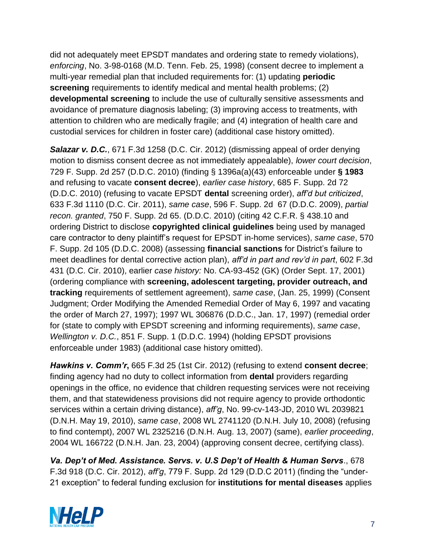did not adequately meet EPSDT mandates and ordering state to remedy violations), *enforcing*, No. 3-98-0168 (M.D. Tenn. Feb. 25, 1998) (consent decree to implement a multi-year remedial plan that included requirements for: (1) updating **periodic screening** requirements to identify medical and mental health problems; (2) **developmental screening** to include the use of culturally sensitive assessments and avoidance of premature diagnosis labeling; (3) improving access to treatments, with attention to children who are medically fragile; and (4) integration of health care and custodial services for children in foster care) (additional case history omitted).

*Salazar v. D.C.*, 671 F.3d 1258 (D.C. Cir. 2012) (dismissing appeal of order denying motion to dismiss consent decree as not immediately appealable), *lower court decision*, 729 F. Supp. 2d 257 (D.D.C. 2010) (finding § 1396a(a)(43) enforceable under **§ 1983** and refusing to vacate **consent decree**), *earlier case history*, 685 F. Supp. 2d 72 (D.D.C. 2010) (refusing to vacate EPSDT **dental** screening order), *aff'd but criticized*, 633 F.3d 1110 (D.C. Cir. 2011), *same case*, 596 F. Supp. 2d 67 (D.D.C. 2009), *partial recon. granted*, 750 F. Supp. 2d 65. (D.D.C. 2010) (citing 42 C.F.R. § 438.10 and ordering District to disclose **copyrighted clinical guidelines** being used by managed care contractor to deny plaintiff's request for EPSDT in-home services), *same case*, 570 F. Supp. 2d 105 (D.D.C. 2008) (assessing **financial sanctions** for District's failure to meet deadlines for dental corrective action plan), *aff'd in part and rev'd in part*, 602 F.3d 431 (D.C. Cir. 2010), earlier *case history:* No. CA-93-452 (GK) (Order Sept. 17, 2001) (ordering compliance with **screening, adolescent targeting, provider outreach, and tracking** requirements of settlement agreement), *same case*, (Jan. 25, 1999) (Consent Judgment; Order Modifying the Amended Remedial Order of May 6, 1997 and vacating the order of March 27, 1997); 1997 WL 306876 (D.D.C., Jan. 17, 1997) (remedial order for (state to comply with EPSDT screening and informing requirements), *same case*, *Wellington v. D.C.*, 851 F. Supp. 1 (D.D.C. 1994) (holding EPSDT provisions enforceable under 1983) (additional case history omitted).

*Hawkins v. Comm'r***,** 665 F.3d 25 (1st Cir. 2012) (refusing to extend **consent decree**; finding agency had no duty to collect information from **dental** providers regarding openings in the office, no evidence that children requesting services were not receiving them, and that statewideness provisions did not require agency to provide orthodontic services within a certain driving distance), *aff'g*, No. 99-cv-143-JD, 2010 WL 2039821 (D.N.H. May 19, 2010), *same case*, 2008 WL 2741120 (D.N.H. July 10, 2008) (refusing to find contempt), 2007 WL 2325216 (D.N.H. Aug. 13, 2007) (same), *earlier proceeding*, 2004 WL 166722 (D.N.H. Jan. 23, 2004) (approving consent decree, certifying class).

*Va. Dep't of Med. Assistance. Servs. v. U.S Dep't of Health & Human Servs*., 678 F.3d 918 (D.C. Cir. 2012), *aff'g*, 779 F. Supp. 2d 129 (D.D.C 2011) (finding the "under-21 exception" to federal funding exclusion for **institutions for mental diseases** applies

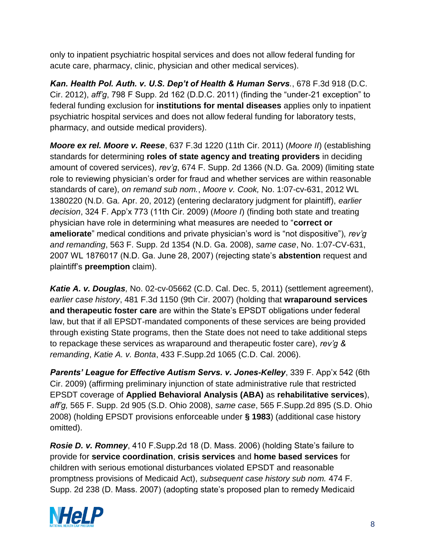only to inpatient psychiatric hospital services and does not allow federal funding for acute care, pharmacy, clinic, physician and other medical services).

*Kan. Health Pol. Auth. v. U.S. Dep't of Health & Human Servs.*, 678 F.3d 918 (D.C. Cir. 2012), *aff'g*, 798 F Supp. 2d 162 (D.D.C. 2011) (finding the "under-21 exception" to federal funding exclusion for **institutions for mental diseases** applies only to inpatient psychiatric hospital services and does not allow federal funding for laboratory tests, pharmacy, and outside medical providers).

*Moore ex rel. Moore v. Reese*, 637 F.3d 1220 (11th Cir. 2011) (*Moore II*) (establishing standards for determining **roles of state agency and treating providers** in deciding amount of covered services), *rev'g*, 674 F. Supp. 2d 1366 (N.D. Ga. 2009) (limiting state role to reviewing physician's order for fraud and whether services are within reasonable standards of care), *on remand sub nom.*, *Moore v. Cook,* No. 1:07-cv-631, 2012 WL 1380220 (N.D. Ga. Apr. 20, 2012) (entering declaratory judgment for plaintiff), *earlier decision*, 324 F. App'x 773 (11th Cir. 2009) (*Moore I*) (finding both state and treating physician have role in determining what measures are needed to "**correct or ameliorate**" medical conditions and private physician's word is "not dispositive"), *rev'g and remanding*, 563 F. Supp. 2d 1354 (N.D. Ga. 2008), *same case*, No. 1:07-CV-631, 2007 WL 1876017 (N.D. Ga. June 28, 2007) (rejecting state's **abstention** request and plaintiff's **preemption** claim).

*Katie A. v. Douglas,* No. 02-cv-05662 (C.D. Cal. Dec. 5, 2011) (settlement agreement), *earlier case history*, 481 F.3d 1150 (9th Cir. 2007) (holding that **wraparound services and therapeutic foster care** are within the State's EPSDT obligations under federal law, but that if all EPSDT-mandated components of these services are being provided through existing State programs, then the State does not need to take additional steps to repackage these services as wraparound and therapeutic foster care), *rev'g & remanding*, *Katie A. v. Bonta*, 433 F.Supp.2d 1065 (C.D. Cal. 2006).

*Parents' League for Effective Autism Servs. v. Jones-Kelley*, 339 F. App'x 542 (6th Cir. 2009) (affirming preliminary injunction of state administrative rule that restricted EPSDT coverage of **Applied Behavioral Analysis (ABA)** as **rehabilitative services**), *aff'g,* 565 F. Supp. 2d 905 (S.D. Ohio 2008), *same case*, 565 F.Supp.2d 895 (S.D. Ohio 2008) (holding EPSDT provisions enforceable under **§ 1983**) (additional case history omitted).

*Rosie D. v. Romney*, 410 F.Supp.2d 18 (D. Mass. 2006) (holding State's failure to provide for **service coordination**, **crisis services** and **home based services** for children with serious emotional disturbances violated EPSDT and reasonable promptness provisions of Medicaid Act), *subsequent case history sub nom.* 474 F. Supp. 2d 238 (D. Mass. 2007) (adopting state's proposed plan to remedy Medicaid

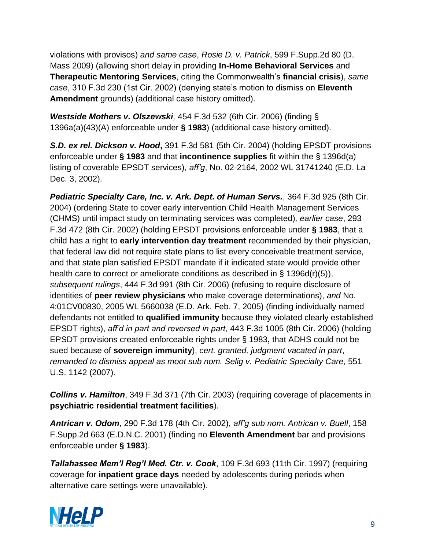violations with provisos) *and same case*, *Rosie D. v. Patrick*, 599 F.Supp.2d 80 (D. Mass 2009) (allowing short delay in providing **In-Home Behavioral Services** and **Therapeutic Mentoring Services**, citing the Commonwealth's **financial crisis**), *same case*, 310 F.3d 230 (1st Cir. 2002) (denying state's motion to dismiss on **Eleventh Amendment** grounds) (additional case history omitted).

*Westside Mothers v. Olszewski,* 454 F.3d 532 (6th Cir. 2006) (finding § 1396a(a)(43)(A) enforceable under **§ 1983**) (additional case history omitted).

*S.D. ex rel. Dickson v. Hood***,** 391 F.3d 581 (5th Cir. 2004) (holding EPSDT provisions enforceable under **§ 1983** and that **incontinence supplies** fit within the § 1396d(a) listing of coverable EPSDT services), *aff'g*, No. 02-2164, 2002 WL 31741240 (E.D. La Dec. 3, 2002).

*Pediatric Specialty Care, Inc. v. Ark. Dept. of Human Servs.*, 364 F.3d 925 (8th Cir. 2004) (ordering State to cover early intervention Child Health Management Services (CHMS) until impact study on terminating services was completed)*, earlier case*, 293 F.3d 472 (8th Cir. 2002) (holding EPSDT provisions enforceable under **§ 1983**, that a child has a right to **early intervention day treatment** recommended by their physician, that federal law did not require state plans to list every conceivable treatment service, and that state plan satisfied EPSDT mandate if it indicated state would provide other health care to correct or ameliorate conditions as described in § 1396d(r)(5)), *subsequent rulings*, 444 F.3d 991 (8th Cir. 2006) (refusing to require disclosure of identities of **peer review physicians** who make coverage determinations), *and* No. 4:01CV00830, 2005 WL 5660038 (E.D. Ark. Feb. 7, 2005) (finding individually named defendants not entitled to **qualified immunity** because they violated clearly established EPSDT rights), *aff'd in part and reversed in part*, 443 F.3d 1005 (8th Cir. 2006) (holding EPSDT provisions created enforceable rights under § 1983**,** that ADHS could not be sued because of **sovereign immunity**), *cert. granted, judgment vacated in part*, *remanded to dismiss appeal as moot sub nom. Selig v. Pediatric Specialty Care*, 551 U.S. 1142 (2007).

*Collins v. Hamilton*, 349 F.3d 371 (7th Cir. 2003) (requiring coverage of placements in **psychiatric residential treatment facilities**).

*Antrican v. Odom*, 290 F.3d 178 (4th Cir. 2002), *aff'g sub nom. Antrican v. Buell*, 158 F.Supp.2d 663 (E.D.N.C. 2001) (finding no **Eleventh Amendment** bar and provisions enforceable under **§ 1983**).

*Tallahassee Mem'l Reg'l Med. Ctr. v. Cook*, 109 F.3d 693 (11th Cir. 1997) (requiring coverage for **inpatient grace days** needed by adolescents during periods when alternative care settings were unavailable).

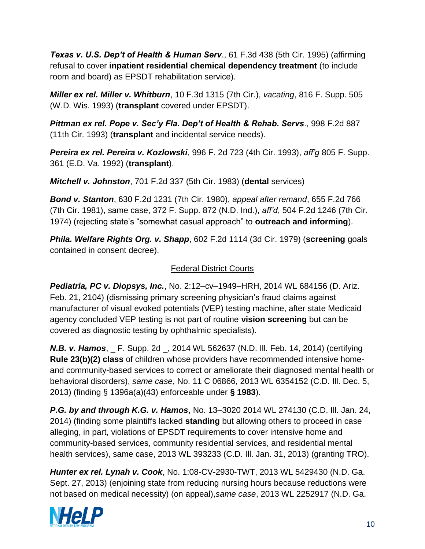*Texas v. U.S. Dep't of Health & Human Serv*., 61 F.3d 438 (5th Cir. 1995) (affirming refusal to cover **inpatient residential chemical dependency treatment** (to include room and board) as EPSDT rehabilitation service).

*Miller ex rel. Miller v. Whitburn*, 10 F.3d 1315 (7th Cir.), *vacating*, 816 F. Supp. 505 (W.D. Wis. 1993) (**transplant** covered under EPSDT).

*Pittman ex rel. Pope v. Sec'y Fla. Dep't of Health & Rehab. Servs*., 998 F.2d 887 (11th Cir. 1993) (**transplant** and incidental service needs).

*Pereira ex rel. Pereira v. Kozlowski*, 996 F. 2d 723 (4th Cir. 1993), *aff'g* 805 F. Supp. 361 (E.D. Va. 1992) (**transplant**).

*Mitchell v. Johnston*, 701 F.2d 337 (5th Cir. 1983) (**dental** services)

*Bond v. Stanton*, 630 F.2d 1231 (7th Cir. 1980), *appeal after remand*, 655 F.2d 766 (7th Cir. 1981), same case, 372 F. Supp. 872 (N.D. Ind.), *aff'd*, 504 F.2d 1246 (7th Cir. 1974) (rejecting state's "somewhat casual approach" to **outreach and informing**).

*Phila. Welfare Rights Org. v. Shapp*, 602 F.2d 1114 (3d Cir. 1979) (**screening** goals contained in consent decree).

# **Federal District Courts**

*Pediatria, PC v. Diopsys, Inc.*, No. 2:12–cv–1949–HRH, 2014 WL 684156 (D. Ariz. Feb. 21, 2104) (dismissing primary screening physician's fraud claims against manufacturer of visual evoked potentials (VEP) testing machine, after state Medicaid agency concluded VEP testing is not part of routine **vision screening** but can be covered as diagnostic testing by ophthalmic specialists).

**N.B. v. Hamos.** F. Supp. 2d . 2014 WL 562637 (N.D. III. Feb. 14, 2014) (certifying **Rule 23(b)(2) class** of children whose providers have recommended intensive homeand community-based services to correct or ameliorate their diagnosed mental health or behavioral disorders), *same case*, No. 11 C 06866, 2013 WL 6354152 (C.D. Ill. Dec. 5, 2013) (finding § 1396a(a)(43) enforceable under **§ 1983**).

*P.G. by and through K.G. v. Hamos*, No. 13–3020 2014 WL 274130 (C.D. Ill. Jan. 24, 2014) (finding some plaintiffs lacked **standing** but allowing others to proceed in case alleging, in part, violations of EPSDT requirements to cover intensive home and community-based services, community residential services, and residential mental health services), same case, 2013 WL 393233 (C.D. Ill. Jan. 31, 2013) (granting TRO).

*Hunter ex rel. Lynah v. Cook*, No. 1:08-CV-2930-TWT, 2013 WL 5429430 (N.D. Ga. Sept. 27, 2013) (enjoining state from reducing nursing hours because reductions were not based on medical necessity) (on appeal),*same case*, 2013 WL 2252917 (N.D. Ga.

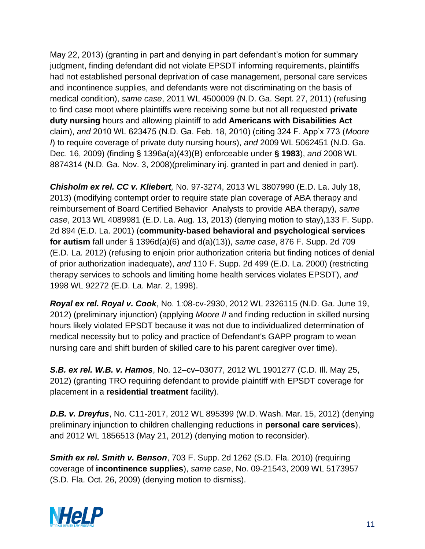May 22, 2013) (granting in part and denying in part defendant's motion for summary judgment, finding defendant did not violate EPSDT informing requirements, plaintiffs had not established personal deprivation of case management, personal care services and incontinence supplies, and defendants were not discriminating on the basis of medical condition), *same case*, 2011 WL 4500009 (N.D. Ga. Sept. 27, 2011) (refusing to find case moot where plaintiffs were receiving some but not all requested **private duty nursing** hours and allowing plaintiff to add **Americans with Disabilities Act** claim), *and* 2010 WL 623475 (N.D. Ga. Feb. 18, 2010) (citing 324 F. App'x 773 (*Moore I*) to require coverage of private duty nursing hours), *and* 2009 WL 5062451 (N.D. Ga. Dec. 16, 2009) (finding § 1396a(a)(43)(B) enforceable under **§ 1983**), *and* 2008 WL 8874314 (N.D. Ga. Nov. 3, 2008)(preliminary inj. granted in part and denied in part).

*Chisholm ex rel. CC v. Kliebert,* No. 97-3274, 2013 WL 3807990 (E.D. La. July 18, 2013) (modifying contempt order to require state plan coverage of ABA therapy and reimbursement of Board Certified Behavior Analysts to provide ABA therapy), *same case*, 2013 WL 4089981 (E.D. La. Aug. 13, 2013) (denying motion to stay),133 F. Supp. 2d 894 (E.D. La. 2001) (**community-based behavioral and psychological services for autism** fall under § 1396d(a)(6) and d(a)(13)), *same case*, 876 F. Supp. 2d 709 (E.D. La. 2012) (refusing to enjoin prior authorization criteria but finding notices of denial of prior authorization inadequate), *and* 110 F. Supp. 2d 499 (E.D. La. 2000) (restricting therapy services to schools and limiting home health services violates EPSDT), *and* 1998 WL 92272 (E.D. La. Mar. 2, 1998).

*Royal ex rel. Royal v. Cook*, No. 1:08-cv-2930, 2012 WL 2326115 (N.D. Ga. June 19, 2012) (preliminary injunction) (applying *Moore II* and finding reduction in skilled nursing hours likely violated EPSDT because it was not due to individualized determination of medical necessity but to policy and practice of Defendant's GAPP program to wean nursing care and shift burden of skilled care to his parent caregiver over time).

*S.B. ex rel. W.B. v. Hamos*, No. 12–cv–03077, 2012 WL 1901277 (C.D. Ill. May 25, 2012) (granting TRO requiring defendant to provide plaintiff with EPSDT coverage for placement in a **residential treatment** facility).

*D.B. v. Dreyfus*, No. C11-2017, 2012 WL 895399 (W.D. Wash. Mar. 15, 2012) (denying preliminary injunction to children challenging reductions in **personal care services**), and 2012 WL 1856513 (May 21, 2012) (denying motion to reconsider).

*Smith ex rel. Smith v. Benson*, 703 F. Supp. 2d 1262 (S.D. Fla. 2010) (requiring coverage of **incontinence supplies**), *same case*, No. 09-21543, 2009 WL 5173957 (S.D. Fla. Oct. 26, 2009) (denying motion to dismiss).

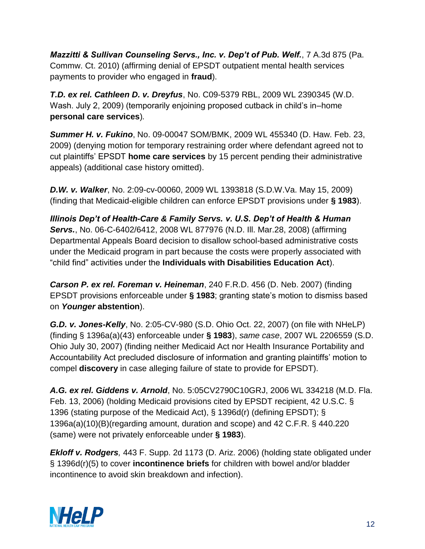*Mazzitti & Sullivan Counseling Servs., Inc. v. Dep't of Pub. Welf.*, 7 A.3d 875 (Pa. Commw. Ct. 2010) (affirming denial of EPSDT outpatient mental health services payments to provider who engaged in **fraud**).

*T.D. ex rel. Cathleen D. v. Dreyfus*, No. C09-5379 RBL, 2009 WL 2390345 (W.D. Wash. July 2, 2009) (temporarily enjoining proposed cutback in child's in–home **personal care services**)*.*

*Summer H. v. Fukino*, No. 09-00047 SOM/BMK, 2009 WL 455340 (D. Haw. Feb. 23, 2009) (denying motion for temporary restraining order where defendant agreed not to cut plaintiffs' EPSDT **home care services** by 15 percent pending their administrative appeals) (additional case history omitted).

*D.W. v. Walker*, No. 2:09-cv-00060, 2009 WL 1393818 (S.D.W.Va. May 15, 2009) (finding that Medicaid-eligible children can enforce EPSDT provisions under **§ 1983**).

*Illinois Dep't of Health-Care & Family Servs. v. U.S. Dep't of Health & Human Servs.*, No. 06-C-6402/6412, 2008 WL 877976 (N.D. Ill. Mar.28, 2008) (affirming Departmental Appeals Board decision to disallow school-based administrative costs under the Medicaid program in part because the costs were properly associated with "child find" activities under the **Individuals with Disabilities Education Act**).

*Carson P. ex rel. Foreman v. Heineman*, 240 F.R.D. 456 (D. Neb. 2007) (finding EPSDT provisions enforceable under **§ 1983**; granting state's motion to dismiss based on *Younger* **abstention**).

*G.D. v. Jones-Kelly*, No. 2:05-CV-980 (S.D. Ohio Oct. 22, 2007) (on file with NHeLP) (finding § 1396a(a)(43) enforceable under **§ 1983**), *same case*, 2007 WL 2206559 (S.D. Ohio July 30, 2007) (finding neither Medicaid Act nor Health Insurance Portability and Accountability Act precluded disclosure of information and granting plaintiffs' motion to compel **discovery** in case alleging failure of state to provide for EPSDT).

*A.G. ex rel. Giddens v. Arnold*, No. 5:05CV2790C10GRJ, 2006 WL 334218 (M.D. Fla. Feb. 13, 2006) (holding Medicaid provisions cited by EPSDT recipient, 42 U.S.C. § 1396 (stating purpose of the Medicaid Act), § 1396d(r) (defining EPSDT); § 1396a(a)(10)(B)(regarding amount, duration and scope) and 42 C.F.R. § 440.220 (same) were not privately enforceable under **§ 1983**).

*Ekloff v. Rodgers,* 443 F. Supp. 2d 1173 (D. Ariz. 2006) (holding state obligated under § 1396d(r)(5) to cover **incontinence briefs** for children with bowel and/or bladder incontinence to avoid skin breakdown and infection).

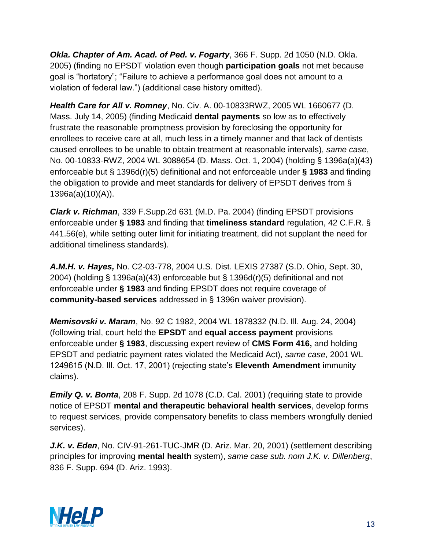*Okla. Chapter of Am. Acad. of Ped. v. Fogarty*, 366 F. Supp. 2d 1050 (N.D. Okla. 2005) (finding no EPSDT violation even though **participation goals** not met because goal is "hortatory"; "Failure to achieve a performance goal does not amount to a violation of federal law.") (additional case history omitted).

*Health Care for All v. Romney*, No. Civ. A. 00-10833RWZ, 2005 WL 1660677 (D. Mass. July 14, 2005) (finding Medicaid **dental payments** so low as to effectively frustrate the reasonable promptness provision by foreclosing the opportunity for enrollees to receive care at all, much less in a timely manner and that lack of dentists caused enrollees to be unable to obtain treatment at reasonable intervals), *same case*, No. 00-10833-RWZ, 2004 WL 3088654 (D. Mass. Oct. 1, 2004) (holding § 1396a(a)(43) enforceable but § 1396d(r)(5) definitional and not enforceable under **§ 1983** and finding the obligation to provide and meet standards for delivery of EPSDT derives from § 1396a(a)(10)(A)).

*Clark v. Richman*, 339 F.Supp.2d 631 (M.D. Pa. 2004) (finding EPSDT provisions enforceable under **§ 1983** and finding that **timeliness standard** regulation, 42 C.F.R. § 441.56(e), while setting outer limit for initiating treatment, did not supplant the need for additional timeliness standards).

*A.M.H. v. Hayes,* No. C2-03-778, 2004 U.S. Dist. LEXIS 27387 (S.D. Ohio, Sept. 30, 2004) (holding § 1396a(a)(43) enforceable but § 1396d(r)(5) definitional and not enforceable under **§ 1983** and finding EPSDT does not require coverage of **community-based services** addressed in § 1396n waiver provision).

*Memisovski v. Maram*, No. 92 C 1982, 2004 WL 1878332 (N.D. Ill. Aug. 24, 2004) (following trial, court held the **EPSDT** and **equal access payment** provisions enforceable under **§ 1983**, discussing expert review of **CMS Form 416,** and holding EPSDT and pediatric payment rates violated the Medicaid Act), *same case*, 2001 WL 1249615 (N.D. Ill. Oct. 17, 2001) (rejecting state's **Eleventh Amendment** immunity claims).

*Emily Q. v. Bonta*, 208 F. Supp. 2d 1078 (C.D. Cal. 2001) (requiring state to provide notice of EPSDT **mental and therapeutic behavioral health services**, develop forms to request services, provide compensatory benefits to class members wrongfully denied services).

*J.K. v. Eden*, No. CIV-91-261-TUC-JMR (D. Ariz. Mar. 20, 2001) (settlement describing principles for improving **mental health** system), *same case sub. nom J.K. v. Dillenberg*, 836 F. Supp. 694 (D. Ariz. 1993).

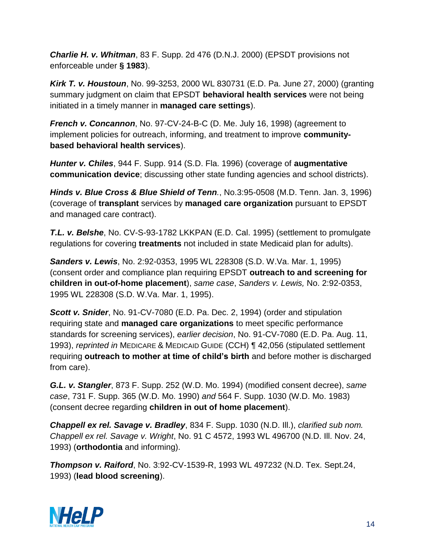*Charlie H. v. Whitman*, 83 F. Supp. 2d 476 (D.N.J. 2000) (EPSDT provisions not enforceable under **§ 1983**).

*Kirk T. v. Houstoun*, No. 99-3253, 2000 WL 830731 (E.D. Pa. June 27, 2000) (granting summary judgment on claim that EPSDT **behavioral health services** were not being initiated in a timely manner in **managed care settings**).

*French v. Concannon*, No. 97-CV-24-B-C (D. Me. July 16, 1998) (agreement to implement policies for outreach, informing, and treatment to improve **communitybased behavioral health services**).

*Hunter v. Chiles*, 944 F. Supp. 914 (S.D. Fla. 1996) (coverage of **augmentative communication device**; discussing other state funding agencies and school districts).

*Hinds v. Blue Cross & Blue Shield of Tenn.*, No.3:95-0508 (M.D. Tenn. Jan. 3, 1996) (coverage of **transplant** services by **managed care organization** pursuant to EPSDT and managed care contract).

*T.L. v. Belshe*, No. CV-S-93-1782 LKKPAN (E.D. Cal. 1995) (settlement to promulgate regulations for covering **treatments** not included in state Medicaid plan for adults).

*Sanders v. Lewis*, No. 2:92-0353, 1995 WL 228308 (S.D. W.Va. Mar. 1, 1995) (consent order and compliance plan requiring EPSDT **outreach to and screening for children in out-of-home placement**), *same case*, *Sanders v. Lewis,* No. 2:92-0353, 1995 WL 228308 (S.D. W.Va. Mar. 1, 1995).

*Scott v. Snider*, No. 91-CV-7080 (E.D. Pa. Dec. 2, 1994) (order and stipulation requiring state and **managed care organizations** to meet specific performance standards for screening services), *earlier decision*, No. 91-CV-7080 (E.D. Pa. Aug. 11, 1993), *reprinted in* MEDICARE & MEDICAID GUIDE (CCH) ¶ 42,056 (stipulated settlement requiring **outreach to mother at time of child's birth** and before mother is discharged from care).

*G.L. v. Stangler*, 873 F. Supp. 252 (W.D. Mo. 1994) (modified consent decree), *same case*, 731 F. Supp. 365 (W.D. Mo. 1990) *and* 564 F. Supp. 1030 (W.D. Mo. 1983) (consent decree regarding **children in out of home placement**).

*Chappell ex rel. Savage v. Bradley*, 834 F. Supp. 1030 (N.D. Ill.), *clarified sub nom. Chappell ex rel. Savage v. Wright*, No. 91 C 4572, 1993 WL 496700 (N.D. Ill. Nov. 24, 1993) (**orthodontia** and informing).

*Thompson v. Raiford*, No. 3:92-CV-1539-R, 1993 WL 497232 (N.D. Tex. Sept.24, 1993) (**lead blood screening**).

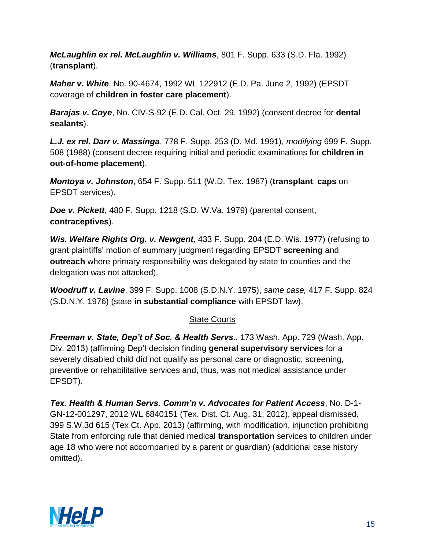*McLaughlin ex rel. McLaughlin v. Williams*, 801 F. Supp. 633 (S.D. Fla. 1992) (**transplant**).

*Maher v. White*, No. 90-4674, 1992 WL 122912 (E.D. Pa. June 2, 1992) (EPSDT coverage of **children in foster care placement**).

*Barajas v. Coye*, No. CIV-S-92 (E.D. Cal. Oct. 29, 1992) (consent decree for **dental sealants**).

*L.J. ex rel. Darr v. Massinga*, 778 F. Supp. 253 (D. Md. 1991), *modifying* 699 F. Supp. 508 (1988) (consent decree requiring initial and periodic examinations for **children in out-of-home placement**).

*Montoya v. Johnston*, 654 F. Supp. 511 (W.D. Tex. 1987) (**transplant**; **caps** on EPSDT services).

*Doe v. Pickett*, 480 F. Supp. 1218 (S.D. W.Va. 1979) (parental consent, **contraceptives**).

*Wis. Welfare Rights Org. v. Newgent*, 433 F. Supp. 204 (E.D. Wis. 1977) (refusing to grant plaintiffs' motion of summary judgment regarding EPSDT **screening** and **outreach** where primary responsibility was delegated by state to counties and the delegation was not attacked).

*Woodruff v. Lavine*, 399 F. Supp. 1008 (S.D.N.Y. 1975), *same case,* 417 F. Supp. 824 (S.D.N.Y. 1976) (state **in substantial compliance** with EPSDT law).

## State Courts

*Freeman v. State, Dep't of Soc. & Health Servs*., 173 Wash. App. 729 (Wash. App. Div. 2013) (affirming Dep't decision finding **general supervisory services** for a severely disabled child did not qualify as personal care or diagnostic, screening, preventive or rehabilitative services and, thus, was not medical assistance under EPSDT).

*Tex. Health & Human Servs. Comm'n v. Advocates for Patient Access*, No. D-1- GN-12-001297, 2012 WL 6840151 (Tex. Dist. Ct. Aug. 31, 2012), appeal dismissed, 399 S.W.3d 615 (Tex Ct. App. 2013) (affirming, with modification, injunction prohibiting State from enforcing rule that denied medical **transportation** services to children under age 18 who were not accompanied by a parent or guardian) (additional case history omitted).

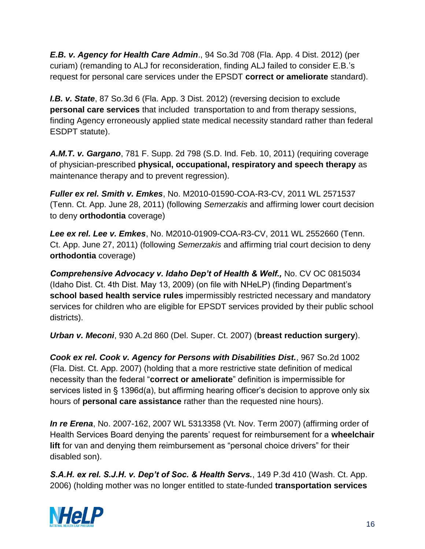*E.B. v. Agency for Health Care Admin*., 94 So.3d 708 (Fla. App. 4 Dist. 2012) (per curiam) (remanding to ALJ for reconsideration, finding ALJ failed to consider E.B.'s request for personal care services under the EPSDT **correct or ameliorate** standard).

*I.B. v. State*, 87 So.3d 6 (Fla. App. 3 Dist. 2012) (reversing decision to exclude **personal care services** that included transportation to and from therapy sessions, finding Agency erroneously applied state medical necessity standard rather than federal ESDPT statute).

*A.M.T. v. Gargano*, 781 F. Supp. 2d 798 (S.D. Ind. Feb. 10, 2011) (requiring coverage of physician-prescribed **physical, occupational, respiratory and speech therapy** as maintenance therapy and to prevent regression).

*Fuller ex rel. Smith v. Emkes*, No. M2010-01590-COA-R3-CV, 2011 WL 2571537 (Tenn. Ct. App. June 28, 2011) (following *Semerzakis* and affirming lower court decision to deny **orthodontia** coverage)

*Lee ex rel. Lee v. Emkes*, No. M2010-01909-COA-R3-CV, 2011 WL 2552660 (Tenn. Ct. App. June 27, 2011) (following *Semerzakis* and affirming trial court decision to deny **orthodontia** coverage)

Comprehensive Advocacy v. Idaho Dep't of Health & Welf., No. CV OC 0815034 (Idaho Dist. Ct. 4th Dist. May 13, 2009) (on file with NHeLP) (finding Department's **school based health service rules** impermissibly restricted necessary and mandatory services for children who are eligible for EPSDT services provided by their public school districts).

*Urban v. Meconi*, 930 A.2d 860 (Del. Super. Ct. 2007) (**breast reduction surgery**).

*Cook ex rel. Cook v. Agency for Persons with Disabilities Dist.*, 967 So.2d 1002 (Fla. Dist. Ct. App. 2007) (holding that a more restrictive state definition of medical necessity than the federal "**correct or ameliorate**" definition is impermissible for services listed in § 1396d(a), but affirming hearing officer's decision to approve only six hours of **personal care assistance** rather than the requested nine hours).

*In re Erena*, No. 2007-162, 2007 WL 5313358 (Vt. Nov. Term 2007) (affirming order of Health Services Board denying the parents' request for reimbursement for a **wheelchair lift** for van and denying them reimbursement as "personal choice drivers" for their disabled son).

*S.A.H. ex rel. S.J.H. v. Dep't of Soc. & Health Servs.*, 149 P.3d 410 (Wash. Ct. App. 2006) (holding mother was no longer entitled to state-funded **transportation services**